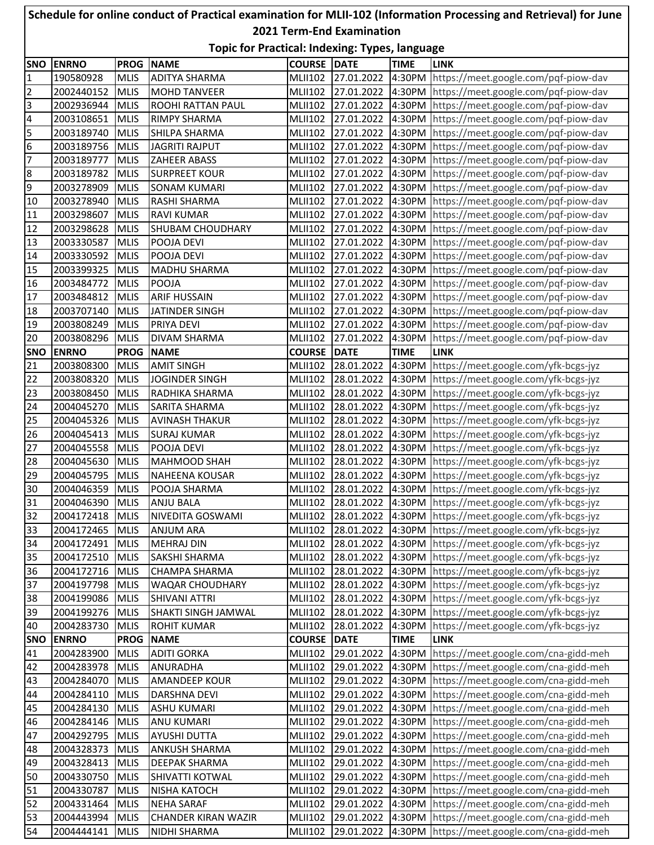## **SNO ENRNO PROG NAME COURSE DATE TIME LINK** 190580928 MLIS ADITYA SHARMA MULII102 27.01.2022 4:30PM https://meet.google.com/pqf-piow-dav 2002440152 MLIS MOHD TANVEER MLII102 27.01.2022 4:30PM https://meet.google.com/pqf-piow-dav 2002936944 MLIS ROOHI RATTAN PAUL MLII102 27.01.2022 4:30PM https://meet.google.com/pqf-piow-dav 2003108651 MLIS RIMPY SHARMA MERICIO MLII102 27.01.2022 4:30PM https://meet.google.com/pqf-piow-dav 2003189740 MLIS SHILPA SHARMA MLII102 27.01.2022 4:30PM https://meet.google.com/pqf-piow-dav 2003189756 MLIS JAGRITI RAJPUT MLII102 27.01.2022 4:30PM https://meet.google.com/pqf-piow-dav 2003189777 MLIS ZAHEER ABASS MLII102 27.01.2022 4:30PM https://meet.google.com/pqf-piow-dav 8 2003189782 MLIS SURPREET KOUR MLII102 27.01.2022 4:30PM https://meet.google.com/pqf-piow-dav 2003278909 MLIS SONAM KUMARI MLII102 27.01.2022 4:30PM https://meet.google.com/pqf-piow-dav 2003278940 MLIS RASHI SHARMA MLII102 27.01.2022 4:30PM https://meet.google.com/pqf-piow-dav 2003298607 MLIS RAVI KUMAR MLII102 27.01.2022 4:30PM https://meet.google.com/pqf-piow-dav 12 2003298628 MLIS SHUBAM CHOUDHARY MLII102 27.01.2022 4:30PM https://meet.google.com/pqf-piow-dav 13 2003330587 MLIS POOJA DEVI MLII102 27.01.2022 4:30PM https://meet.google.com/pqf-piow-dav 2003330592 MLIS POOJA DEVI MLII102 27.01.2022 4:30PM https://meet.google.com/pqf-piow-dav 2003399325 MLIS MADHU SHARMA MLII102 27.01.2022 4:30PM https://meet.google.com/pqf-piow-dav 2003484772 MLIS POOJA MLII102 27.01.2022 4:30PM https://meet.google.com/pqf-piow-dav 2003484812 MLIS ARIF HUSSAIN MLII102 27.01.2022 4:30PM https://meet.google.com/pqf-piow-dav 2003707140 MLIS JATINDER SINGH MLII102 27.01.2022 4:30PM https://meet.google.com/pqf-piow-dav 2003808249 MLIS PRIYA DEVI MLII102 27.01.2022 4:30PM https://meet.google.com/pqf-piow-dav 2003808296 MLIS DIVAM SHARMA MLII102 27.01.2022 4:30PM https://meet.google.com/pqf-piow-dav **SNO ENRNO PROG NAME COURSE DATE TIME LINK** 2003808300 MLIS AMIT SINGH MLII102 28.01.2022 4:30PM https://meet.google.com/yfk-bcgs-jyz 2003808320 MLIS JOGINDER SINGH MLII102 28.01.2022 4:30PM https://meet.google.com/yfk-bcgs-jyz 2003808450 MLIS RADHIKA SHARMA MLII102 28.01.2022 4:30PM https://meet.google.com/yfk-bcgs-jyz 2004045270 MLIS SARITA SHARMA MLII102 28.01.2022 4:30PM https://meet.google.com/yfk-bcgs-jyz 25 2004045326 MLIS AVINASH THAKUR MLII102 28.01.2022 4:30PM https://meet.google.com/yfk-bcgs-jyz 2004045413 MLIS SURAJ KUMAR MLII102 28.01.2022 4:30PM https://meet.google.com/yfk-bcgs-jyz 2004045558 MLIS POOJA DEVI MLII102 28.01.2022 4:30PM https://meet.google.com/yfk-bcgs-jyz 2004045630 MLIS MAHMOOD SHAH MLII102 28.01.2022 4:30PM https://meet.google.com/yfk-bcgs-jyz 2004045795 MLIS NAHEENA KOUSAR MLII102 28.01.2022 4:30PM https://meet.google.com/yfk-bcgs-jyz 2004046359 MLIS POOJA SHARMA MLII102 28.01.2022 4:30PM https://meet.google.com/yfk-bcgs-jyz 2004046390 MLIS ANJU BALA MLII102 28.01.2022 4:30PM https://meet.google.com/yfk-bcgs-jyz 32 2004172418 MLIS NIVEDITA GOSWAMI MLII102 28.01.2022 4:30PM https://meet.google.com/yfk-bcgs-jyz 2004172465 MLIS ANJUM ARA MLII102 28.01.2022 4:30PM https://meet.google.com/yfk-bcgs-jyz 2004172491 MLIS MEHRAJ DIN MLII102 28.01.2022 4:30PM https://meet.google.com/yfk-bcgs-jyz 2004172510 MLIS SAKSHI SHARMA MLII102 28.01.2022 4:30PM https://meet.google.com/yfk-bcgs-jyz 2004172716 MLIS CHAMPA SHARMA MLII102 28.01.2022 4:30PM https://meet.google.com/yfk-bcgs-jyz 2004197798 MLIS WAQAR CHOUDHARY MLII102 28.01.2022 4:30PM https://meet.google.com/yfk-bcgs-jyz 2004199086 MLIS SHIVANI ATTRI MLII102 28.01.2022 4:30PM https://meet.google.com/yfk-bcgs-jyz 2004199276 MLIS SHAKTI SINGH JAMWAL MLII102 28.01.2022 4:30PM https://meet.google.com/yfk-bcgs-jyz 2004283730 MLIS ROHIT KUMAR MLII102 28.01.2022 4:30PM https://meet.google.com/yfk-bcgs-jyz **SNO ENRNO PROG NAME COURSE DATE TIME LINK** 2004283900 MLIS ADITI GORKA MLII102 29.01.2022 4:30PM https://meet.google.com/cna-gidd-meh 2004283978 MLIS ANURADHA MLII102 29.01.2022 4:30PM https://meet.google.com/cna-gidd-meh 2004284070 MLIS AMANDEEP KOUR MLII102 29.01.2022 4:30PM https://meet.google.com/cna-gidd-meh 2004284110 MLIS DARSHNA DEVI MLII102 29.01.2022 4:30PM https://meet.google.com/cna-gidd-meh 2004284130 MLIS ASHU KUMARI MLII102 29.01.2022 4:30PM https://meet.google.com/cna-gidd-meh 2004284146 MLIS ANU KUMARI MLII102 29.01.2022 4:30PM https://meet.google.com/cna-gidd-meh 2004292795 MLIS AYUSHI DUTTA MLII102 29.01.2022 4:30PM https://meet.google.com/cna-gidd-meh 2004328373 MLIS ANKUSH SHARMA MLII102 29.01.2022 4:30PM https://meet.google.com/cna-gidd-meh 2004328413 MLIS DEEPAK SHARMA MLII102 29.01.2022 4:30PM https://meet.google.com/cna-gidd-meh 2004330750 MLIS SHIVATTI KOTWAL MLII102 29.01.2022 4:30PM https://meet.google.com/cna-gidd-meh 2004330787 MLIS NISHA KATOCH MLII102 29.01.2022 4:30PM https://meet.google.com/cna-gidd-meh 2004331464 MLIS NEHA SARAF MLII102 29.01.2022 4:30PM https://meet.google.com/cna-gidd-meh 2004443994 MLIS CHANDER KIRAN WAZIR MLII102 29.01.2022 4:30PM https://meet.google.com/cna-gidd-meh 2004444141 MLIS NIDHI SHARMA MLII102 29.01.2022 4:30PM https://meet.google.com/cna-gidd-meh **Schedule for online conduct of Practical examination for MLII-102 (Information Processing and Retrieval) for June 2021 Term-End Examination Topic for Practical: Indexing: Types, language**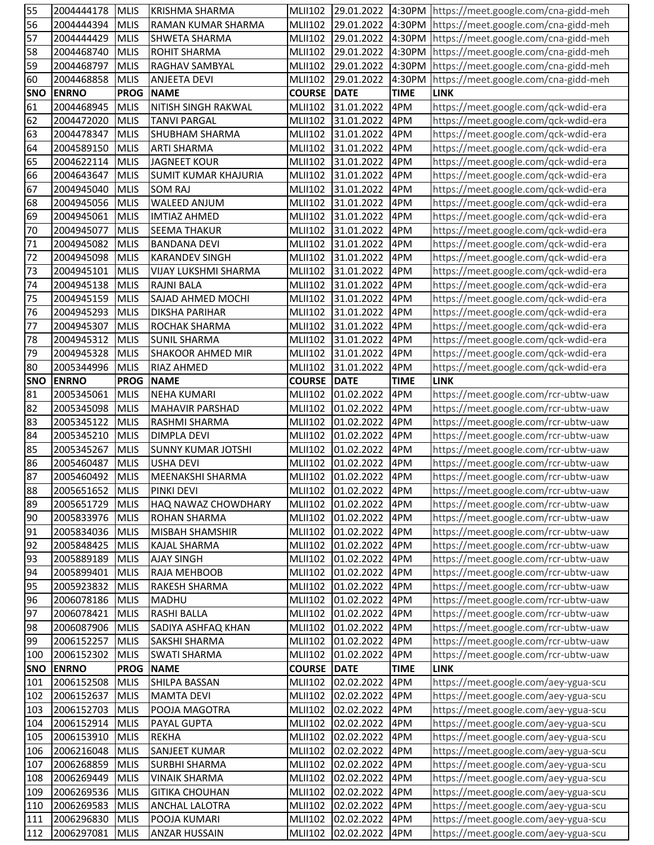| 55         | 2004444178      | <b>MLIS</b> | <b>KRISHMA SHARMA</b>       |                |                        |             | MLII102 29.01.2022 4:30PM https://meet.google.com/cna-gidd-meh |
|------------|-----------------|-------------|-----------------------------|----------------|------------------------|-------------|----------------------------------------------------------------|
| 56         | 2004444394      | <b>MLIS</b> | RAMAN KUMAR SHARMA          | <b>MLII102</b> | 29.01.2022             |             | 4:30PM https://meet.google.com/cna-gidd-meh                    |
| 57         | 2004444429      | <b>MLIS</b> | SHWETA SHARMA               | <b>MLII102</b> | 29.01.2022             | 4:30PM      | https://meet.google.com/cna-gidd-meh                           |
| 58         | 2004468740      | <b>MLIS</b> | <b>ROHIT SHARMA</b>         | <b>MLII102</b> | 29.01.2022             | 4:30PM      | https://meet.google.com/cna-gidd-meh                           |
| 59         | 2004468797      | <b>MLIS</b> | RAGHAV SAMBYAL              | <b>MLII102</b> | 29.01.2022             | 4:30PM      | https://meet.google.com/cna-gidd-meh                           |
| 60         | 2004468858      | <b>MLIS</b> | <b>ANJEETA DEVI</b>         | <b>MLII102</b> | 29.01.2022             | 4:30PM      | https://meet.google.com/cna-gidd-meh                           |
| <b>SNO</b> | <b>ENRNO</b>    | <b>PROG</b> | <b>NAME</b>                 | <b>COURSE</b>  | DATE                   | <b>TIME</b> | <b>LINK</b>                                                    |
| 61         | 2004468945      | <b>MLIS</b> | <b>NITISH SINGH RAKWAL</b>  | <b>MLII102</b> | 31.01.2022             | 4PM         | https://meet.google.com/qck-wdid-era                           |
| 62         | 2004472020      | <b>MLIS</b> | <b>TANVI PARGAL</b>         | <b>MLII102</b> | 31.01.2022             | 4PM         | https://meet.google.com/qck-wdid-era                           |
| 63         | 2004478347      | <b>MLIS</b> | <b>SHUBHAM SHARMA</b>       | <b>MLII102</b> | 31.01.2022             | 4PM         | https://meet.google.com/qck-wdid-era                           |
| 64         | 2004589150      | <b>MLIS</b> | <b>ARTI SHARMA</b>          | <b>MLII102</b> | 31.01.2022             | 4PM         | https://meet.google.com/qck-wdid-era                           |
| 65         | 2004622114      | <b>MLIS</b> | <b>JAGNEET KOUR</b>         | <b>MLII102</b> | 31.01.2022             | 4PM         | https://meet.google.com/qck-wdid-era                           |
|            |                 |             |                             |                |                        |             |                                                                |
| 66         | 2004643647      | <b>MLIS</b> | <b>SUMIT KUMAR KHAJURIA</b> | <b>MLII102</b> | 31.01.2022             | 4PM         | https://meet.google.com/qck-wdid-era                           |
| 67         | 2004945040      | <b>MLIS</b> | <b>SOM RAJ</b>              | <b>MLII102</b> | 31.01.2022             | 4PM         | https://meet.google.com/qck-wdid-era                           |
| 68         | 2004945056      | <b>MLIS</b> | WALEED ANJUM                | <b>MLII102</b> | 31.01.2022             | 4PM         | https://meet.google.com/qck-wdid-era                           |
| 69         | 2004945061      | <b>MLIS</b> | <b>IMTIAZ AHMED</b>         | <b>MLII102</b> | 31.01.2022             | 4PM         | https://meet.google.com/qck-wdid-era                           |
| 70         | 2004945077      | <b>MLIS</b> | <b>SEEMA THAKUR</b>         | <b>MLII102</b> | 31.01.2022             | 4PM         | https://meet.google.com/qck-wdid-era                           |
| 71         | 2004945082      | <b>MLIS</b> | <b>BANDANA DEVI</b>         | <b>MLII102</b> | 31.01.2022             | 4PM         | https://meet.google.com/qck-wdid-era                           |
| 72         | 2004945098      | <b>MLIS</b> | <b>KARANDEV SINGH</b>       | <b>MLII102</b> | 31.01.2022             | 4PM         | https://meet.google.com/qck-wdid-era                           |
| 73         | 2004945101      | <b>MLIS</b> | VIJAY LUKSHMI SHARMA        | <b>MLII102</b> | 31.01.2022             | 4PM         | https://meet.google.com/qck-wdid-era                           |
| 74         | 2004945138      | <b>MLIS</b> | RAJNI BALA                  | <b>MLII102</b> | 31.01.2022             | 4PM         | https://meet.google.com/qck-wdid-era                           |
| 75         | 2004945159      | <b>MLIS</b> | SAJAD AHMED MOCHI           | <b>MLII102</b> | 31.01.2022             | 4PM         | https://meet.google.com/qck-wdid-era                           |
| 76         | 2004945293      | <b>MLIS</b> | <b>DIKSHA PARIHAR</b>       | <b>MLII102</b> | 31.01.2022             | 4PM         | https://meet.google.com/qck-wdid-era                           |
| 77         | 2004945307      | <b>MLIS</b> | ROCHAK SHARMA               | <b>MLII102</b> | 31.01.2022             | 4PM         | https://meet.google.com/qck-wdid-era                           |
| 78         | 2004945312      | <b>MLIS</b> | <b>SUNIL SHARMA</b>         | <b>MLII102</b> | 31.01.2022             | 4PM         | https://meet.google.com/qck-wdid-era                           |
| 79         | 2004945328      | <b>MLIS</b> | <b>SHAKOOR AHMED MIR</b>    | MLII102        | 31.01.2022             | 4PM         | https://meet.google.com/qck-wdid-era                           |
| 80         | 2005344996      | <b>MLIS</b> | RIAZ AHMED                  | <b>MLII102</b> | 31.01.2022             | 4PM         | https://meet.google.com/qck-wdid-era                           |
| <b>SNO</b> | <b>ENRNO</b>    | <b>PROG</b> | <b>NAME</b>                 | <b>COURSE</b>  | <b>DATE</b>            | <b>TIME</b> | <b>LINK</b>                                                    |
| 81         | 2005345061      | <b>MLIS</b> | <b>NEHA KUMARI</b>          | <b>MLII102</b> | 01.02.2022             | 4PM         | https://meet.google.com/rcr-ubtw-uaw                           |
| 82         | 2005345098      | <b>MLIS</b> | <b>MAHAVIR PARSHAD</b>      | <b>MLII102</b> | 01.02.2022             | 4PM         | https://meet.google.com/rcr-ubtw-uaw                           |
| 83         | 2005345122      | <b>MLIS</b> | RASHMI SHARMA               | <b>MLII102</b> | 01.02.2022             | 4PM         | https://meet.google.com/rcr-ubtw-uaw                           |
| 84         | 2005345210      | <b>MLIS</b> | <b>DIMPLA DEVI</b>          | <b>MLII102</b> | 01.02.2022             | 4PM         | https://meet.google.com/rcr-ubtw-uaw                           |
|            |                 |             |                             |                |                        |             |                                                                |
|            |                 |             |                             |                |                        |             |                                                                |
| 85         | 2005345267      | <b>MLIS</b> | <b>SUNNY KUMAR JOTSHI</b>   | <b>MLII102</b> | 01.02.2022             | 4PM         | https://meet.google.com/rcr-ubtw-uaw                           |
| 86         | 2005460487      | <b>MLIS</b> | <b>USHA DEVI</b>            | <b>MLII102</b> | 01.02.2022             | 4PM         | https://meet.google.com/rcr-ubtw-uaw                           |
| 87         | 2005460492      | <b>MLIS</b> | MEENAKSHI SHARMA            | <b>MLII102</b> | 01.02.2022             | 4PM         | https://meet.google.com/rcr-ubtw-uaw                           |
| 88         | 2005651652 MLIS |             | <b>PINKI DEVI</b>           |                | MLII102 01.02.2022 4PM |             | https://meet.google.com/rcr-ubtw-uaw                           |
| 89         | 2005651729      | <b>MLIS</b> | HAQ NAWAZ CHOWDHARY         | <b>MLII102</b> | 01.02.2022             | 4PM         | https://meet.google.com/rcr-ubtw-uaw                           |
| 90         | 2005833976      | <b>MLIS</b> | <b>ROHAN SHARMA</b>         | <b>MLII102</b> | 01.02.2022             | 4PM         | https://meet.google.com/rcr-ubtw-uaw                           |
| 91         | 2005834036      | <b>MLIS</b> | <b>MISBAH SHAMSHIR</b>      | <b>MLII102</b> | 01.02.2022             | 4PM         | https://meet.google.com/rcr-ubtw-uaw                           |
| 92         | 2005848425      | <b>MLIS</b> | <b>KAJAL SHARMA</b>         | <b>MLII102</b> | 01.02.2022             | 4PM         | https://meet.google.com/rcr-ubtw-uaw                           |
| 93         | 2005889189      | <b>MLIS</b> | <b>AJAY SINGH</b>           | <b>MLII102</b> | 01.02.2022             | 4PM         | https://meet.google.com/rcr-ubtw-uaw                           |
| 94         | 2005899401      | <b>MLIS</b> | RAJA MEHBOOB                | <b>MLII102</b> | 01.02.2022             | 4PM         | https://meet.google.com/rcr-ubtw-uaw                           |
| 95         | 2005923832      | <b>MLIS</b> | RAKESH SHARMA               | <b>MLII102</b> | 01.02.2022             | 4PM         | https://meet.google.com/rcr-ubtw-uaw                           |
| 96         | 2006078186      | <b>MLIS</b> | <b>MADHU</b>                | <b>MLII102</b> | 01.02.2022             | 4PM         | https://meet.google.com/rcr-ubtw-uaw                           |
| 97         | 2006078421      | <b>MLIS</b> | <b>RASHI BALLA</b>          | <b>MLII102</b> | 01.02.2022             | 4PM         | https://meet.google.com/rcr-ubtw-uaw                           |
| 98         | 2006087906      | <b>MLIS</b> | SADIYA ASHFAQ KHAN          | <b>MLII102</b> | 01.02.2022             | 4PM         | https://meet.google.com/rcr-ubtw-uaw                           |
| 99         | 2006152257      | <b>MLIS</b> | SAKSHI SHARMA               | <b>MLII102</b> | 01.02.2022             | 4PM         | https://meet.google.com/rcr-ubtw-uaw                           |
| 100        | 2006152302      | <b>MLIS</b> | <b>SWATI SHARMA</b>         | <b>MLII102</b> | 01.02.2022             | 4PM         | https://meet.google.com/rcr-ubtw-uaw                           |
| <b>SNO</b> | <b>ENRNO</b>    | <b>PROG</b> | <b>NAME</b>                 | <b>COURSE</b>  | <b>DATE</b>            | <b>TIME</b> | <b>LINK</b>                                                    |
| 101        | 2006152508      | <b>MLIS</b> | SHILPA BASSAN               | <b>MLII102</b> | 02.02.2022             | 4PM         | https://meet.google.com/aey-ygua-scu                           |
| 102        | 2006152637      | <b>MLIS</b> | <b>MAMTA DEVI</b>           | <b>MLII102</b> | 02.02.2022             | 4PM         | https://meet.google.com/aey-ygua-scu                           |
| 103        | 2006152703      | <b>MLIS</b> | POOJA MAGOTRA               | <b>MLII102</b> | 02.02.2022             | 4PM         | https://meet.google.com/aey-ygua-scu                           |
| 104        | 2006152914      | <b>MLIS</b> | PAYAL GUPTA                 | <b>MLII102</b> | 02.02.2022             | 4PM         | https://meet.google.com/aey-ygua-scu                           |
| 105        | 2006153910      | <b>MLIS</b> | <b>REKHA</b>                | <b>MLII102</b> | 02.02.2022             | 4PM         | https://meet.google.com/aey-ygua-scu                           |
| 106        | 2006216048      | <b>MLIS</b> | <b>SANJEET KUMAR</b>        | <b>MLII102</b> | 02.02.2022             | 4PM         | https://meet.google.com/aey-ygua-scu                           |
| 107        | 2006268859      | <b>MLIS</b> | <b>SURBHI SHARMA</b>        | <b>MLII102</b> | 02.02.2022             | 4PM         | https://meet.google.com/aey-ygua-scu                           |
| 108        | 2006269449      | <b>MLIS</b> | <b>VINAIK SHARMA</b>        | <b>MLII102</b> | 02.02.2022             | 4PM         | https://meet.google.com/aey-ygua-scu                           |
| 109        | 2006269536      | <b>MLIS</b> | <b>GITIKA CHOUHAN</b>       | <b>MLII102</b> | 02.02.2022             | 4PM         | https://meet.google.com/aey-ygua-scu                           |
| 110        | 2006269583      | <b>MLIS</b> | <b>ANCHAL LALOTRA</b>       | <b>MLII102</b> | 02.02.2022             | 4PM         | https://meet.google.com/aey-ygua-scu                           |
| 111        | 2006296830      | <b>MLIS</b> | POOJA KUMARI                | MLII102        | 02.02.2022             | 4PM         | https://meet.google.com/aey-ygua-scu                           |
| 112        | 2006297081      | <b>MLIS</b> | <b>ANZAR HUSSAIN</b>        | <b>MLII102</b> | 02.02.2022             | 4PM         | https://meet.google.com/aey-ygua-scu                           |